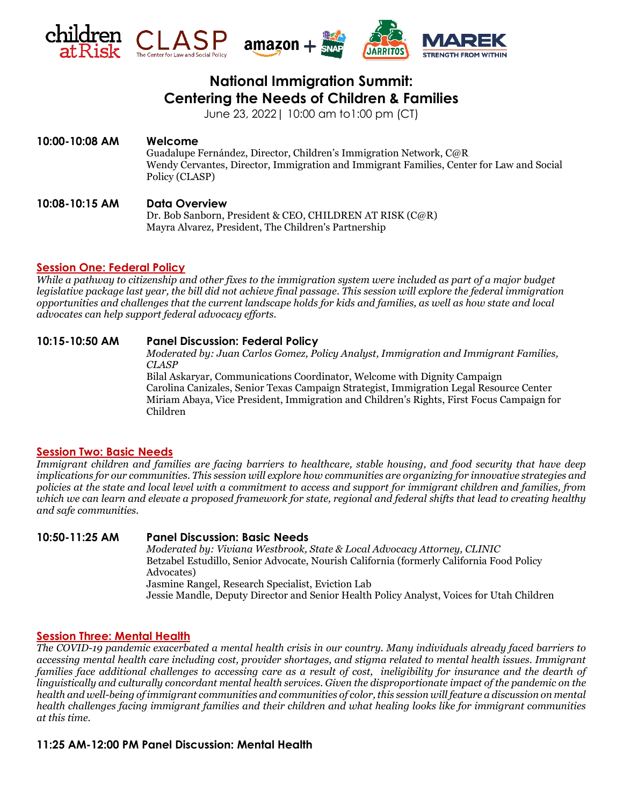

# **National Immigration Summit: Centering the Needs of Children & Families**

June 23, 2022| 10:00 am to1:00 pm (CT)

# **10:00-10:08 AM Welcome** Guadalupe Fernández, Director, Children's Immigration Network, C@R Wendy Cervantes, Director, Immigration and Immigrant Families, Center for Law and Social Policy (CLASP)

# **10:08-10:15 AM Data Overview**

Dr. Bob Sanborn, President & CEO, CHILDREN AT RISK (C@R) Mayra Alvarez, President, The Children's Partnership

# **Session One: Federal Policy**

*While a pathway to citizenship and other fixes to the immigration system were included as part of a major budget legislative package last year, the bill did not achieve final passage. This session will explore the federal immigration opportunities and challenges that the current landscape holds for kids and families, as well as how state and local advocates can help support federal advocacy efforts.*

# **10:15-10:50 AM Panel Discussion: Federal Policy**

*Moderated by: Juan Carlos Gomez, Policy Analyst, Immigration and Immigrant Families, CLASP*

Bilal Askaryar, Communications Coordinator, Welcome with Dignity Campaign Carolina Canizales, Senior Texas Campaign Strategist, Immigration Legal Resource Center Miriam Abaya, Vice President, Immigration and Children's Rights, First Focus Campaign for Children

# **Session Two: Basic Needs**

*Immigrant children and families are facing barriers to healthcare, stable housing, and food security that have deep implications for our communities. This session will explore how communities are organizing for innovative strategies and policies at the state and local level with a commitment to access and support for immigrant children and families, from which we can learn and elevate a proposed framework for state, regional and federal shifts that lead to creating healthy and safe communities.*

# **10:50-11:25 AM Panel Discussion: Basic Needs**

*Moderated by: Viviana Westbrook, State & Local Advocacy Attorney, CLINIC* Betzabel Estudillo, Senior Advocate, Nourish California (formerly California Food Policy Advocates)

Jasmine Rangel, Research Specialist, Eviction Lab

Jessie Mandle, Deputy Director and Senior Health Policy Analyst, Voices for Utah Children

# **Session Three: Mental Health**

*The COVID-19 pandemic exacerbated a mental health crisis in our country. Many individuals already faced barriers to accessing mental health care including cost, provider shortages, and stigma related to mental health issues. Immigrant families face additional challenges to accessing care as a result of cost, ineligibility for insurance and the dearth of linguistically and culturally concordant mental health services. Given the disproportionate impact of the pandemic on the health and well-being of immigrant communities and communities of color, this session will feature a discussion on mental health challenges facing immigrant families and their children and what healing looks like for immigrant communities at this time.*

# **11:25 AM-12:00 PM Panel Discussion: Mental Health**